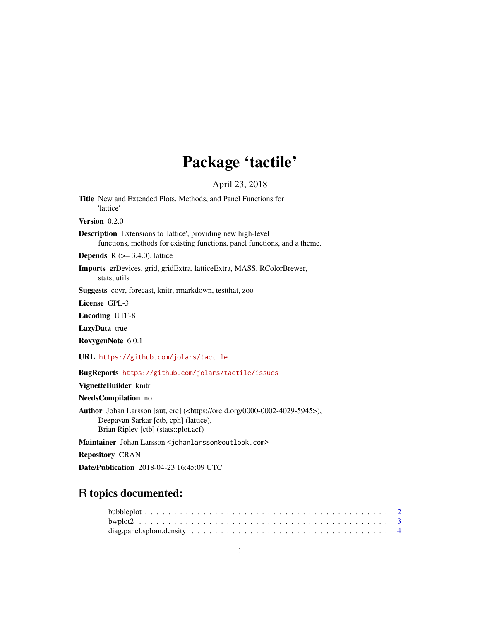## Package 'tactile'

April 23, 2018

<span id="page-0-0"></span>Title New and Extended Plots, Methods, and Panel Functions for 'lattice'

Version 0.2.0

Description Extensions to 'lattice', providing new high-level functions, methods for existing functions, panel functions, and a theme.

**Depends** R  $(>= 3.4.0)$ , lattice

Imports grDevices, grid, gridExtra, latticeExtra, MASS, RColorBrewer, stats, utils

Suggests covr, forecast, knitr, rmarkdown, testthat, zoo

License GPL-3

Encoding UTF-8

LazyData true

RoxygenNote 6.0.1

URL <https://github.com/jolars/tactile>

BugReports <https://github.com/jolars/tactile/issues>

VignetteBuilder knitr

NeedsCompilation no

Author Johan Larsson [aut, cre] (<https://orcid.org/0000-0002-4029-5945>), Deepayan Sarkar [ctb, cph] (lattice), Brian Ripley [ctb] (stats::plot.acf)

Maintainer Johan Larsson <johanlarsson@outlook.com>

Repository CRAN

Date/Publication 2018-04-23 16:45:09 UTC

## R topics documented: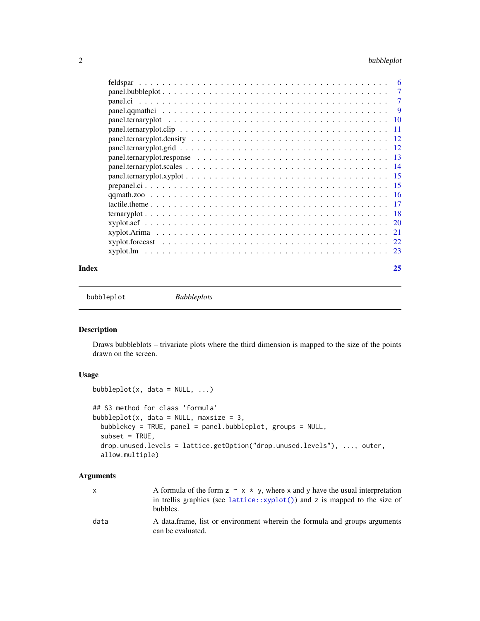### <span id="page-1-0"></span>2 bubbleplot

|                                                                                                                | -9            |
|----------------------------------------------------------------------------------------------------------------|---------------|
|                                                                                                                | -10           |
| $panel. ternaryplot. clip \dots \dots \dots \dots \dots \dots \dots \dots \dots \dots \dots \dots \dots \dots$ | -11           |
|                                                                                                                |               |
|                                                                                                                |               |
|                                                                                                                |               |
|                                                                                                                |               |
|                                                                                                                |               |
|                                                                                                                |               |
|                                                                                                                |               |
|                                                                                                                |               |
|                                                                                                                |               |
|                                                                                                                | <sup>20</sup> |
|                                                                                                                | 21            |
|                                                                                                                | 22            |
|                                                                                                                | 23            |
|                                                                                                                |               |

#### **Index** [25](#page-24-0)

bubbleplot *Bubbleplots*

### Description

Draws bubbleblots – trivariate plots where the third dimension is mapped to the size of the points drawn on the screen.

### Usage

```
bubbleplot(x, data = NULL, ...)## S3 method for class 'formula'
bubbleplot(x, data = NULL, maxsize = 3,
 bubblekey = TRUE, panel = panel.bubbleplot, groups = NULL,
  subset = TRUE,drop.unused.levels = lattice.getOption("drop.unused.levels"), ..., outer,
  allow.multiple)
```

|      | A formula of the form $z \sim x * y$ , where x and y have the usual interpretation<br>in trellis graphics (see lattice::xyplot()) and z is mapped to the size of<br>bubbles. |
|------|------------------------------------------------------------------------------------------------------------------------------------------------------------------------------|
| data | A data frame, list or environment wherein the formula and groups arguments<br>can be evaluated.                                                                              |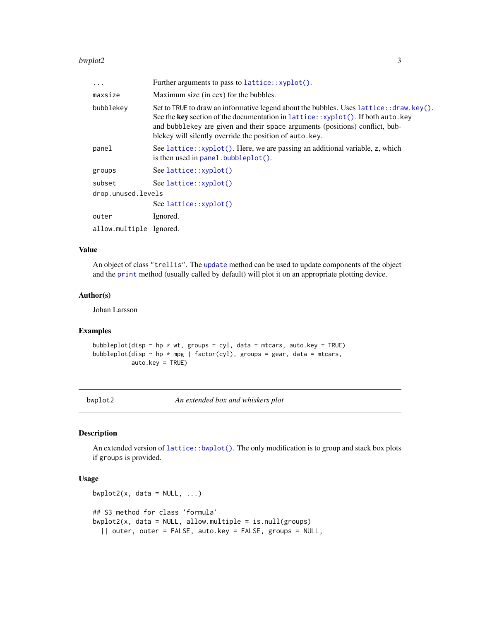#### <span id="page-2-0"></span>bwplot2 3

| $\ddots$ .              | Further arguments to pass to lattice::xyplot().                                                                                                                                                                                                                                                                           |
|-------------------------|---------------------------------------------------------------------------------------------------------------------------------------------------------------------------------------------------------------------------------------------------------------------------------------------------------------------------|
| maxsize                 | Maximum size (in cex) for the bubbles.                                                                                                                                                                                                                                                                                    |
| bubblekey               | Set to TRUE to draw an informative legend about the bubbles. Uses $lattice: draw. key()$ .<br>See the key section of the documentation in lattice::xyplot(). If both auto.key<br>and bubblekey are given and their space arguments (positions) conflict, bub-<br>blekey will silently override the position of auto. key. |
| panel                   | See lattice::xyplot(). Here, we are passing an additional variable, z, which<br>is then used in $panel$ . bubbleplot().                                                                                                                                                                                                   |
| groups                  | See lattice::xyplot()                                                                                                                                                                                                                                                                                                     |
| subset                  | See lattice::xyplot()                                                                                                                                                                                                                                                                                                     |
| drop.unused.levels      |                                                                                                                                                                                                                                                                                                                           |
|                         | See lattice::xyplot()                                                                                                                                                                                                                                                                                                     |
| outer                   | Ignored.                                                                                                                                                                                                                                                                                                                  |
| allow.multiple Ignored. |                                                                                                                                                                                                                                                                                                                           |

### Value

An object of class "trellis". The [update](#page-0-0) method can be used to update components of the object and the [print](#page-0-0) method (usually called by default) will plot it on an appropriate plotting device.

#### Author(s)

Johan Larsson

### Examples

```
bubbleplot(disp \sim hp * wt, groups = cyl, data = mtcars, auto.key = TRUE)
bubbleplot(disp \sim hp * mpg | factor(cyl), groups = gear, data = mtcars,
           auto.key = TRUE)
```
bwplot2 *An extended box and whiskers plot*

### Description

An extended version of [lattice::bwplot\(\)](#page-0-0). The only modification is to group and stack box plots if groups is provided.

### Usage

```
bwplot2(x, data = NULL, ...)## S3 method for class 'formula'
bwplot2(x, data = NULL, allow.multiple = is.null(groups)
  || outer, outer = FALSE, auto.key = FALSE, groups = NULL,
```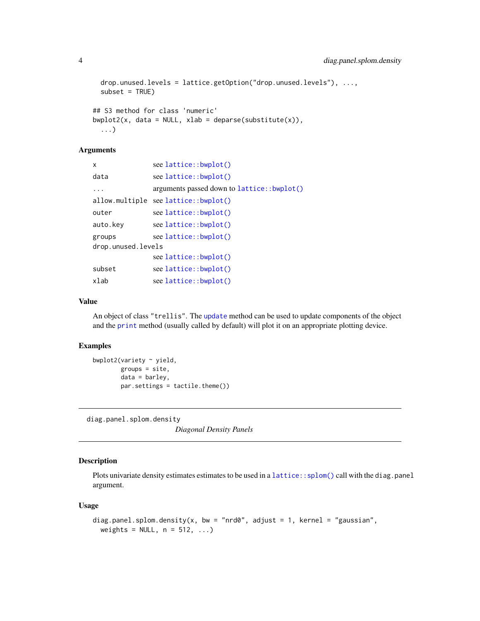```
drop.unused.levels = lattice.getOption("drop.unused.levels"), ...,
  subset = TRUE)
## S3 method for class 'numeric'
bwplot2(x, data = NULL, xlab = deparse(substitute(x)),
  ...)
```
### Arguments

| x                  | see lattice::bwplot()                      |
|--------------------|--------------------------------------------|
| data               | see lattice::bwplot()                      |
| $\ddots$           | arguments passed down to lattice::bwplot() |
|                    | allow.multiple see lattice::bwplot()       |
| outer              | see lattice::bwplot()                      |
| auto.kev           | see lattice::bwplot()                      |
| groups             | see lattice::bwplot()                      |
| drop.unused.levels |                                            |
|                    | see lattice::bwplot()                      |
| subset             | see lattice::bwplot()                      |
| xlab               | see lattice::bwplot()                      |
|                    |                                            |

### Value

An object of class "trellis". The [update](#page-0-0) method can be used to update components of the object and the [print](#page-0-0) method (usually called by default) will plot it on an appropriate plotting device.

### Examples

```
bwplot2(variety ~ yield,
       groups = site,
       data = barley,par.settings = tactile.theme())
```
diag.panel.splom.density

*Diagonal Density Panels*

### Description

Plots univariate density estimates estimates to be used in a [lattice::splom\(\)](#page-0-0) call with the diag.panel argument.

### Usage

```
diag.panel.splom.density(x, bw = "nrd0", adjust = 1, kernel = "gaussian",
 weights = NULL, n = 512, ...)
```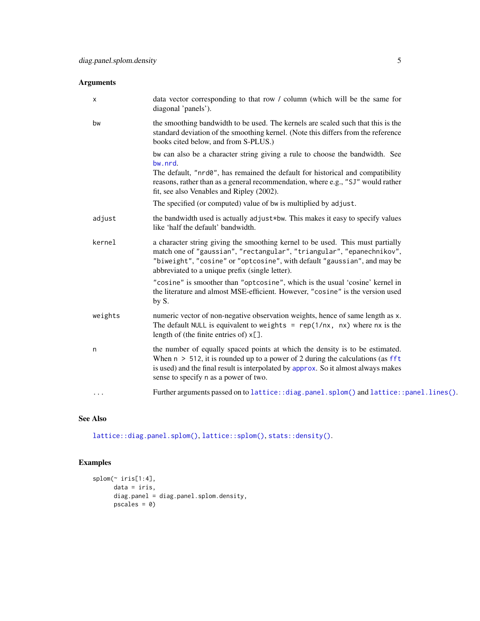<span id="page-4-0"></span>

| х       | data vector corresponding to that row / column (which will be the same for<br>diagonal 'panels').                                                                                                                                                                                                         |
|---------|-----------------------------------------------------------------------------------------------------------------------------------------------------------------------------------------------------------------------------------------------------------------------------------------------------------|
| bw      | the smoothing bandwidth to be used. The kernels are scaled such that this is the<br>standard deviation of the smoothing kernel. (Note this differs from the reference<br>books cited below, and from S-PLUS.)                                                                                             |
|         | bw can also be a character string giving a rule to choose the bandwidth. See<br>bw.nrd.<br>The default, "nrd0", has remained the default for historical and compatibility<br>reasons, rather than as a general recommendation, where e.g., "SJ" would rather<br>fit, see also Venables and Ripley (2002). |
|         | The specified (or computed) value of bw is multiplied by adjust.                                                                                                                                                                                                                                          |
| adjust  | the bandwidth used is actually adjust*bw. This makes it easy to specify values<br>like 'half the default' bandwidth.                                                                                                                                                                                      |
| kernel  | a character string giving the smoothing kernel to be used. This must partially<br>match one of "gaussian", "rectangular", "triangular", "epanechnikov",<br>"biweight", "cosine" or "optcosine", with default "gaussian", and may be<br>abbreviated to a unique prefix (single letter).                    |
|         | "cosine" is smoother than "optcosine", which is the usual 'cosine' kernel in<br>the literature and almost MSE-efficient. However, "cosine" is the version used<br>by S.                                                                                                                                   |
| weights | numeric vector of non-negative observation weights, hence of same length as x.<br>The default NULL is equivalent to weights = $rep(1/nx, nx)$ where $nx$ is the<br>length of (the finite entries of) $x$ [].                                                                                              |
| n       | the number of equally spaced points at which the density is to be estimated.<br>When $n > 512$ , it is rounded up to a power of 2 during the calculations (as fft<br>is used) and the final result is interpolated by approx. So it almost always makes<br>sense to specify n as a power of two.          |
| .       | Further arguments passed on to lattice::diag.panel.splom() and lattice::panel.lines().                                                                                                                                                                                                                    |

### See Also

[lattice::diag.panel.splom\(\)](#page-0-0), [lattice::splom\(\)](#page-0-0), [stats::density\(\)](#page-0-0).

```
splom(~ iris[1:4],
     data = iris,
     diag.panel = diag.panel.splom.density,
     pscales = 0)
```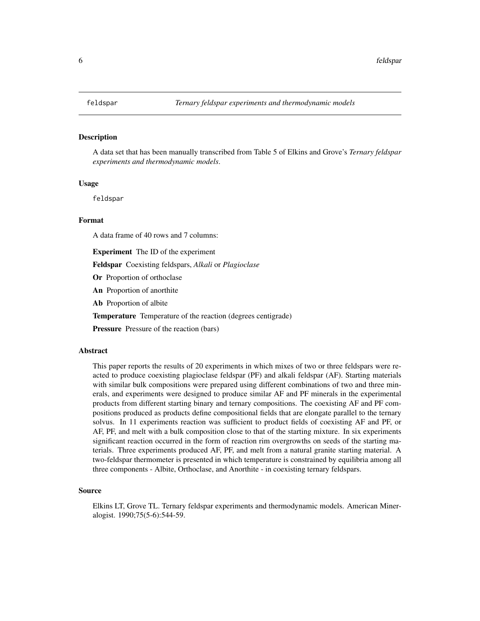<span id="page-5-0"></span>A data set that has been manually transcribed from Table 5 of Elkins and Grove's *Ternary feldspar experiments and thermodynamic models*.

#### Usage

feldspar

### Format

A data frame of 40 rows and 7 columns:

Experiment The ID of the experiment

Feldspar Coexisting feldspars, *Alkali* or *Plagioclase*

- Or Proportion of orthoclase
- An Proportion of anorthite
- Ab Proportion of albite

Temperature Temperature of the reaction (degrees centigrade)

**Pressure** Pressure of the reaction (bars)

#### Abstract

This paper reports the results of 20 experiments in which mixes of two or three feldspars were reacted to produce coexisting plagioclase feldspar (PF) and alkali feldspar (AF). Starting materials with similar bulk compositions were prepared using different combinations of two and three minerals, and experiments were designed to produce similar AF and PF minerals in the experimental products from different starting binary and ternary compositions. The coexisting AF and PF compositions produced as products define compositional fields that are elongate parallel to the ternary solvus. In 11 experiments reaction was sufficient to product fields of coexisting AF and PF, or AF, PF, and melt with a bulk composition close to that of the starting mixture. In six experiments significant reaction occurred in the form of reaction rim overgrowths on seeds of the starting materials. Three experiments produced AF, PF, and melt from a natural granite starting material. A two-feldspar thermometer is presented in which temperature is constrained by equilibria among all three components - Albite, Orthoclase, and Anorthite - in coexisting ternary feldspars.

#### Source

Elkins LT, Grove TL. Ternary feldspar experiments and thermodynamic models. American Mineralogist. 1990;75(5-6):544-59.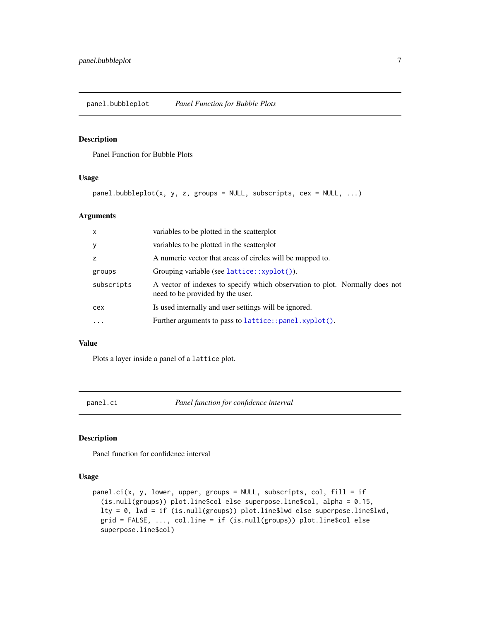<span id="page-6-1"></span><span id="page-6-0"></span>panel.bubbleplot *Panel Function for Bubble Plots*

### Description

Panel Function for Bubble Plots

### Usage

panel.bubbleplot(x, y, z, groups = NULL, subscripts, cex = NULL, ...)

### Arguments

| X          | variables to be plotted in the scatterplot                                                                      |
|------------|-----------------------------------------------------------------------------------------------------------------|
| У          | variables to be plotted in the scatterplot                                                                      |
| Z          | A numeric vector that areas of circles will be mapped to.                                                       |
| groups     | Grouping variable (see $lattice::xyplot()$ ).                                                                   |
| subscripts | A vector of indexes to specify which observation to plot. Normally does not<br>need to be provided by the user. |
| cex        | Is used internally and user settings will be ignored.                                                           |
| $\ddotsc$  | Further arguments to pass to lattice::panel.xyplot().                                                           |
|            |                                                                                                                 |

#### Value

Plots a layer inside a panel of a lattice plot.

panel.ci *Panel function for confidence interval*

### Description

Panel function for confidence interval

### Usage

```
panel.ci(x, y, lower, upper, groups = NULL, subscripts, col, fill = if
  (is.null(groups)) plot.line$col else superpose.line$col, alpha = 0.15,
 lty = 0, lwd = if (is.null(groups)) plot.line$lwd else superpose.line$lwd,
 grid = FALSE, ..., col.line = if (is.null(groups)) plot.line$col else
  superpose.line$col)
```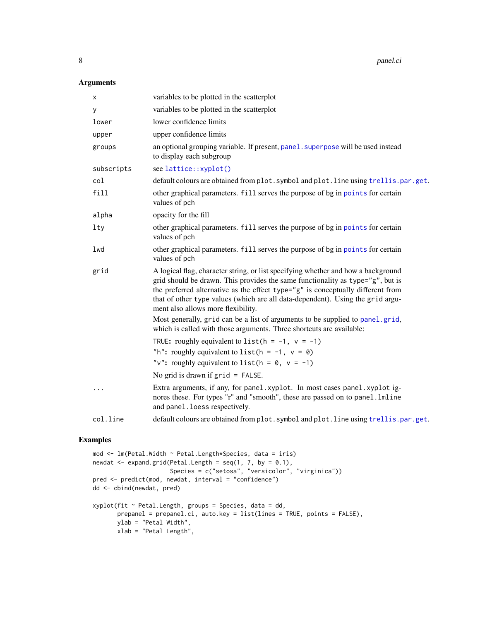### <span id="page-7-0"></span>Arguments

| х          | variables to be plotted in the scatterplot                                                                                                                                                                                                                                                                                                                                              |
|------------|-----------------------------------------------------------------------------------------------------------------------------------------------------------------------------------------------------------------------------------------------------------------------------------------------------------------------------------------------------------------------------------------|
| У          | variables to be plotted in the scatterplot                                                                                                                                                                                                                                                                                                                                              |
| lower      | lower confidence limits                                                                                                                                                                                                                                                                                                                                                                 |
| upper      | upper confidence limits                                                                                                                                                                                                                                                                                                                                                                 |
| groups     | an optional grouping variable. If present, panel . superpose will be used instead<br>to display each subgroup                                                                                                                                                                                                                                                                           |
| subscripts | see lattice::xyplot()                                                                                                                                                                                                                                                                                                                                                                   |
| col        | default colours are obtained from plot. symbol and plot. line using trellis.par.get.                                                                                                                                                                                                                                                                                                    |
| fill       | other graphical parameters. fill serves the purpose of bg in points for certain<br>values of pch                                                                                                                                                                                                                                                                                        |
| alpha      | opacity for the fill                                                                                                                                                                                                                                                                                                                                                                    |
| $1$ ty     | other graphical parameters. fill serves the purpose of bg in points for certain<br>values of pch                                                                                                                                                                                                                                                                                        |
| lwd        | other graphical parameters. fill serves the purpose of bg in points for certain<br>values of pch                                                                                                                                                                                                                                                                                        |
| grid       | A logical flag, character string, or list specifying whether and how a background<br>grid should be drawn. This provides the same functionality as type= $\gamma$ g", but is<br>the preferred alternative as the effect type="g" is conceptually different from<br>that of other type values (which are all data-dependent). Using the grid argu-<br>ment also allows more flexibility. |
|            | Most generally, grid can be a list of arguments to be supplied to panel.grid,<br>which is called with those arguments. Three shortcuts are available:                                                                                                                                                                                                                                   |
|            | TRUE: roughly equivalent to list ( $h = -1$ , $v = -1$ )<br>"h": roughly equivalent to list ( $h = -1$ , $v = 0$ )<br>"v": roughly equivalent to list ( $h = 0$ , $v = -1$ )                                                                                                                                                                                                            |
|            | No grid is drawn if $grid = FALSE$ .                                                                                                                                                                                                                                                                                                                                                    |
|            | Extra arguments, if any, for panel.xyplot. In most cases panel.xyplot ig-<br>nores these. For types "r" and "smooth", these are passed on to panel.lmline<br>and panel. loess respectively.                                                                                                                                                                                             |
| col.line   | default colours are obtained from plot. symbol and plot. line using trellis.par.get.                                                                                                                                                                                                                                                                                                    |
|            |                                                                                                                                                                                                                                                                                                                                                                                         |

```
mod <- lm(Petal.Width ~ Petal.Length*Species, data = iris)
newdat \leq expand.grid(Petal.Length = seq(1, 7, by = 0.1),
                      Species = c("setosa", "versicolor", "virginica"))
pred <- predict(mod, newdat, interval = "confidence")
dd <- cbind(newdat, pred)
xyplot(fit ~ Petal.Length, groups = Species, data = dd,
       prepanel = prepanel.ci, auto.key = list(lines = TRUE, points = FALSE),
       ylab = "Petal Width",
       xlab = "Petal Length",
```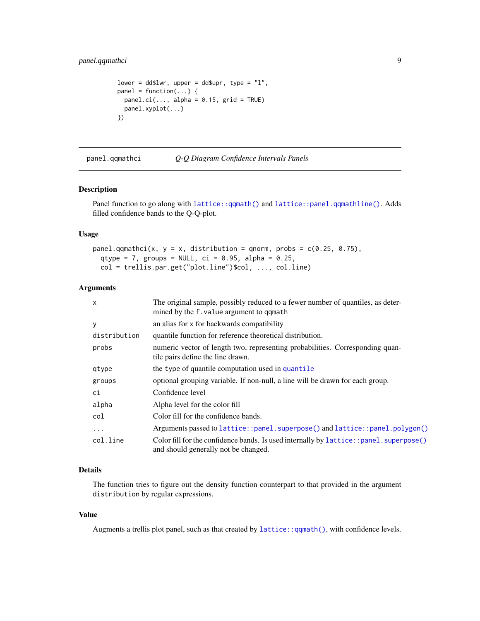### <span id="page-8-0"></span>panel.qqmathci 9

```
lower = dd$lwr, upper = dd$upr, type = "1",panel = function(...) {
 panel.ci(..., alpha = 0.15, grid = TRUE)panel.xyplot(...)
})
```
<span id="page-8-1"></span>panel.qqmathci *Q-Q Diagram Confidence Intervals Panels*

### Description

Panel function to go along with [lattice::qqmath\(\)](#page-0-0) and [lattice::panel.qqmathline\(\)](#page-0-0). Adds filled confidence bands to the Q-Q-plot.

#### Usage

panel.qqmathci(x,  $y = x$ , distribution = qnorm, probs = c(0.25, 0.75), qtype = 7, groups = NULL,  $ci = 0.95$ , alpha = 0.25, col = trellis.par.get("plot.line")\$col, ..., col.line)

#### Arguments

| $\mathsf{x}$ | The original sample, possibly reduced to a fewer number of quantiles, as deter-<br>mined by the f. value argument to qqmath   |
|--------------|-------------------------------------------------------------------------------------------------------------------------------|
| У            | an alias for x for backwards compatibility                                                                                    |
| distribution | quantile function for reference theoretical distribution.                                                                     |
| probs        | numeric vector of length two, representing probabilities. Corresponding quan-<br>tile pairs define the line drawn.            |
| qtype        | the type of quantile computation used in quantile                                                                             |
| groups       | optional grouping variable. If non-null, a line will be drawn for each group.                                                 |
| сi           | Confidence level                                                                                                              |
| alpha        | Alpha level for the color fill                                                                                                |
| col          | Color fill for the confidence bands.                                                                                          |
| $\cdots$     | Arguments passed to lattice::panel.superpose() and lattice::panel.polygon()                                                   |
| col.line     | Color fill for the confidence bands. Is used internally by lattice::panel.superpose()<br>and should generally not be changed. |
|              |                                                                                                                               |

### Details

The function tries to figure out the density function counterpart to that provided in the argument distribution by regular expressions.

### Value

Augments a trellis plot panel, such as that created by [lattice::qqmath\(\)](#page-0-0), with confidence levels.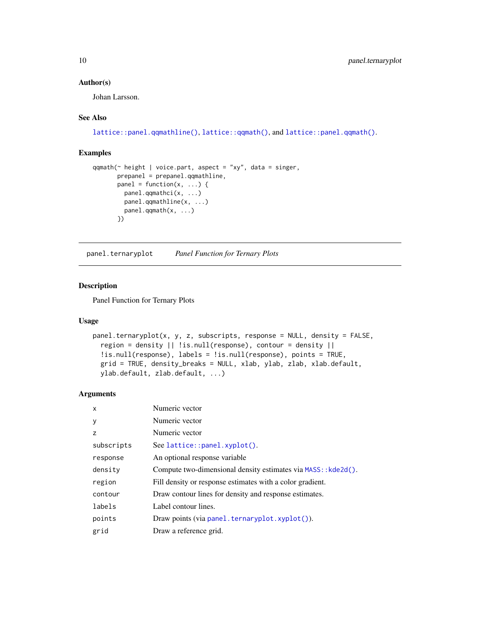### <span id="page-9-0"></span>Author(s)

Johan Larsson.

### See Also

```
lattice::panel.qqmathline(), lattice::qqmath(), and lattice::panel.qqmath().
```
### Examples

```
qqmath(\sim height | voice.part, aspect = "xy", data = singer,
       prepanel = prepanel.qqmathline,
       panel = function(x, \ldots) {
         panel.qqmathci(x, ...)
         panel.qqmathline(x, ...)
         panel.qqmath(x, ...)
       })
```
<span id="page-9-1"></span>panel.ternaryplot *Panel Function for Ternary Plots*

### Description

Panel Function for Ternary Plots

### Usage

```
panel.ternaryplot(x, y, z, subscripts, response = NULL, density = FALSE,
  region = density || !is.null(response), contour = density ||
  !is.null(response), labels = !is.null(response), points = TRUE,
  grid = TRUE, density_breaks = NULL, xlab, ylab, zlab, xlab.default,
 ylab.default, zlab.default, ...)
```

| X          | Numeric vector                                                |
|------------|---------------------------------------------------------------|
| У          | Numeric vector                                                |
| z          | Numeric vector                                                |
| subscripts | See lattice::panel.xyplot().                                  |
| response   | An optional response variable                                 |
| density    | Compute two-dimensional density estimates via MASS:: kde2d(). |
| region     | Fill density or response estimates with a color gradient.     |
| contour    | Draw contour lines for density and response estimates.        |
| labels     | Label contour lines.                                          |
| points     | Draw points (via panel.ternaryplot.xyplot()).                 |
| grid       | Draw a reference grid.                                        |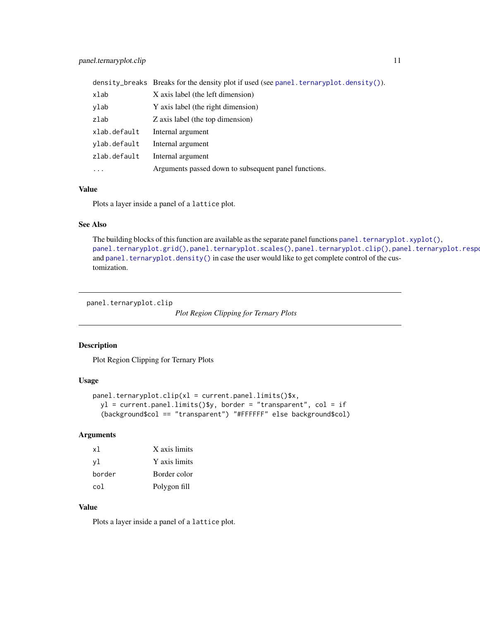<span id="page-10-0"></span>

|              | density_breaks Breaks for the density plot if used (see panel.ternaryplot.density()). |
|--------------|---------------------------------------------------------------------------------------|
| xlab         | X axis label (the left dimension)                                                     |
| ylab         | Y axis label (the right dimension)                                                    |
| zlab         | Z axis label (the top dimension)                                                      |
| xlab.default | Internal argument                                                                     |
| ylab.default | Internal argument                                                                     |
| zlab.default | Internal argument                                                                     |
| $\cdots$     | Arguments passed down to subsequent panel functions.                                  |

### Value

Plots a layer inside a panel of a lattice plot.

### See Also

The building blocks of this function are available as the separate panel functions panel. ternaryplot.xyplot(), [panel.ternaryplot.grid\(\)](#page-11-2), [panel.ternaryplot.scales\(\)](#page-13-1), [panel.ternaryplot.clip\(\)](#page-10-1), panel.ternaryplot.respo and [panel.ternaryplot.density\(\)](#page-11-1) in case the user would like to get complete control of the customization.

<span id="page-10-1"></span>panel.ternaryplot.clip

*Plot Region Clipping for Ternary Plots*

### Description

Plot Region Clipping for Ternary Plots

### Usage

```
panel.ternaryplot.clip(x1 = current.panel.limits()$x,
 y1 = current.panel.limits()$y, border = "transparent", col = if(background$col == "transparent") "#FFFFFF" else background$col)
```
### Arguments

| x1     | X axis limits |
|--------|---------------|
| vl     | Y axis limits |
| border | Border color  |
| col    | Polygon fill  |

### Value

Plots a layer inside a panel of a lattice plot.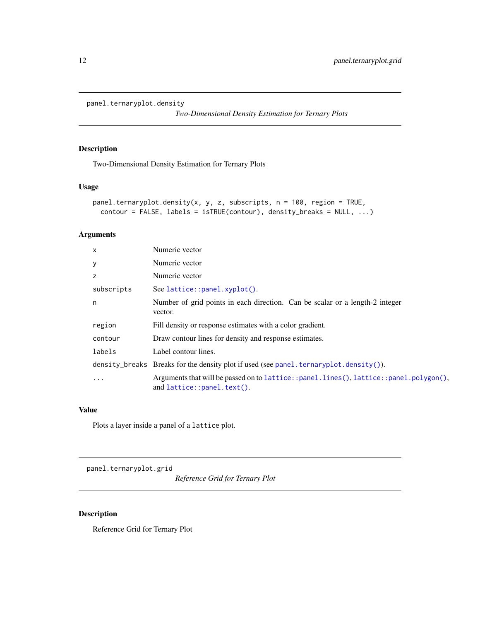```
panel.ternaryplot.density
```
*Two-Dimensional Density Estimation for Ternary Plots*

### Description

Two-Dimensional Density Estimation for Ternary Plots

### Usage

```
panel.ternaryplot.density(x, y, z, subscripts, n = 100, region = TRUE,
  contour = FALSE, labels = isTRUE(contour), density_breaks = NULL, ...)
```
### Arguments

| $\times$   | Numeric vector                                                                                                         |
|------------|------------------------------------------------------------------------------------------------------------------------|
| У          | Numeric vector                                                                                                         |
| z          | Numeric vector                                                                                                         |
| subscripts | See lattice::panel.xyplot().                                                                                           |
| n          | Number of grid points in each direction. Can be scalar or a length-2 integer<br>vector.                                |
| region     | Fill density or response estimates with a color gradient.                                                              |
| contour    | Draw contour lines for density and response estimates.                                                                 |
| labels     | Label contour lines.                                                                                                   |
|            | density_breaks Breaks for the density plot if used (see panel.ternaryplot.density()).                                  |
| $\ddots$ . | Arguments that will be passed on to lattice::panel.lines(), lattice::panel.polygon(),<br>and $lattice::panel.text()$ . |

### Value

Plots a layer inside a panel of a lattice plot.

<span id="page-11-2"></span>panel.ternaryplot.grid

*Reference Grid for Ternary Plot*

### Description

Reference Grid for Ternary Plot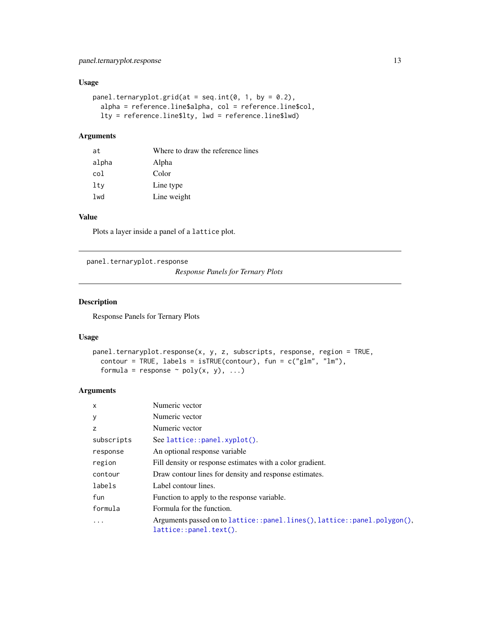### <span id="page-12-0"></span>panel.ternaryplot.response 13

### Usage

```
panel.ternaryplot.grid(at = seq.int(0, 1, by = 0.2),
 alpha = reference.line$alpha, col = reference.line$col,
 lty = reference.line$lty, lwd = reference.line$lwd)
```
### Arguments

| at    | Where to draw the reference lines |
|-------|-----------------------------------|
| alpha | Alpha                             |
| col   | Color                             |
| lty   | Line type                         |
| lwd   | Line weight                       |
|       |                                   |

### Value

Plots a layer inside a panel of a lattice plot.

<span id="page-12-1"></span>panel.ternaryplot.response

*Response Panels for Ternary Plots*

### Description

Response Panels for Ternary Plots

### Usage

```
panel.ternaryplot.response(x, y, z, subscripts, response, region = TRUE,
  contour = TRUE, labels = isTRUE(contour), fun = c("glm", "lm"),
  formula = response \sim poly(x, y), ...)
```

| X          | Numeric vector                                                                                        |
|------------|-------------------------------------------------------------------------------------------------------|
| У          | Numeric vector                                                                                        |
| z          | Numeric vector                                                                                        |
| subscripts | See lattice::panel.xyplot().                                                                          |
| response   | An optional response variable                                                                         |
| region     | Fill density or response estimates with a color gradient.                                             |
| contour    | Draw contour lines for density and response estimates.                                                |
| labels     | Label contour lines.                                                                                  |
| fun        | Function to apply to the response variable.                                                           |
| formula    | Formula for the function.                                                                             |
| .          | Arguments passed on to lattice::panel.lines(), lattice::panel.polygon(),<br>$lattice::panel.text()$ . |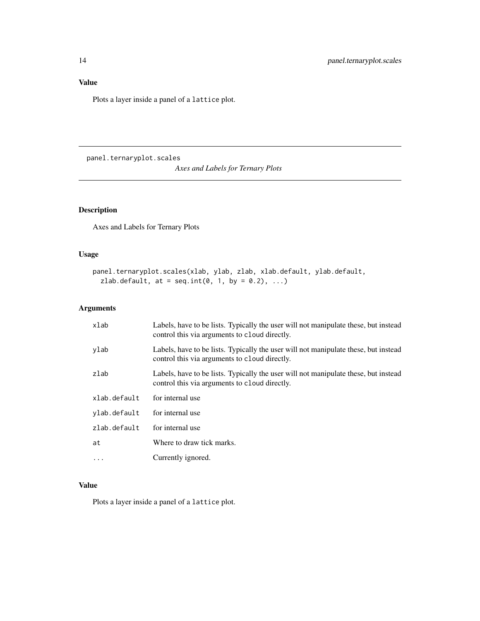### <span id="page-13-0"></span>Value

Plots a layer inside a panel of a lattice plot.

<span id="page-13-1"></span>panel.ternaryplot.scales

*Axes and Labels for Ternary Plots*

### Description

Axes and Labels for Ternary Plots

### Usage

```
panel.ternaryplot.scales(xlab, ylab, zlab, xlab.default, ylab.default,
  zlab.default, at = seq.int(0, 1, by = 0.2), ...)
```
### Arguments

| xlab         | Labels, have to be lists. Typically the user will not manipulate these, but instead<br>control this via arguments to cloud directly. |
|--------------|--------------------------------------------------------------------------------------------------------------------------------------|
| ylab         | Labels, have to be lists. Typically the user will not manipulate these, but instead<br>control this via arguments to cloud directly. |
| zlab         | Labels, have to be lists. Typically the user will not manipulate these, but instead<br>control this via arguments to cloud directly. |
| xlab.default | for internal use                                                                                                                     |
| ylab.default | for internal use                                                                                                                     |
| zlab.default | for internal use                                                                                                                     |
| at           | Where to draw tick marks.                                                                                                            |
| $\cdots$     | Currently ignored.                                                                                                                   |

### Value

Plots a layer inside a panel of a lattice plot.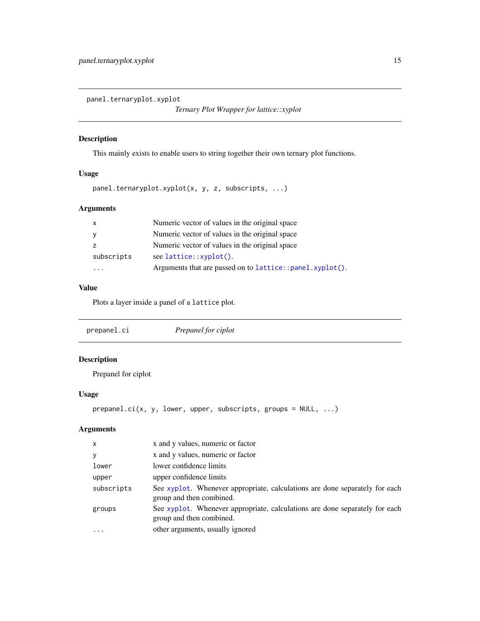<span id="page-14-1"></span><span id="page-14-0"></span>panel.ternaryplot.xyplot

*Ternary Plot Wrapper for lattice::xyplot*

### Description

This mainly exists to enable users to string together their own ternary plot functions.

### Usage

```
panel.ternaryplot.xyplot(x, y, z, subscripts, ...)
```
### Arguments

| $\mathsf{x}$ | Numeric vector of values in the original space           |
|--------------|----------------------------------------------------------|
| y            | Numeric vector of values in the original space           |
|              | Numeric vector of values in the original space           |
| subscripts   | $see$ lattice:: $x$ yplot().                             |
|              | Arguments that are passed on to lattice::panel.xyplot(). |
|              |                                                          |

### Value

Plots a layer inside a panel of a lattice plot.

| Prepanel for ciplot |  |
|---------------------|--|
|---------------------|--|

### Description

Prepanel for ciplot

### Usage

```
prepanel.ci(x, y, lower, upper, subscripts, groups = NULL, ...)
```

| X          | x and y values, numeric or factor                                                                       |
|------------|---------------------------------------------------------------------------------------------------------|
| y          | x and y values, numeric or factor                                                                       |
| lower      | lower confidence limits                                                                                 |
| upper      | upper confidence limits                                                                                 |
| subscripts | See xyplot. Whenever appropriate, calculations are done separately for each<br>group and then combined. |
| groups     | See xyplot. Whenever appropriate, calculations are done separately for each<br>group and then combined. |
| $\ddotsc$  | other arguments, usually ignored                                                                        |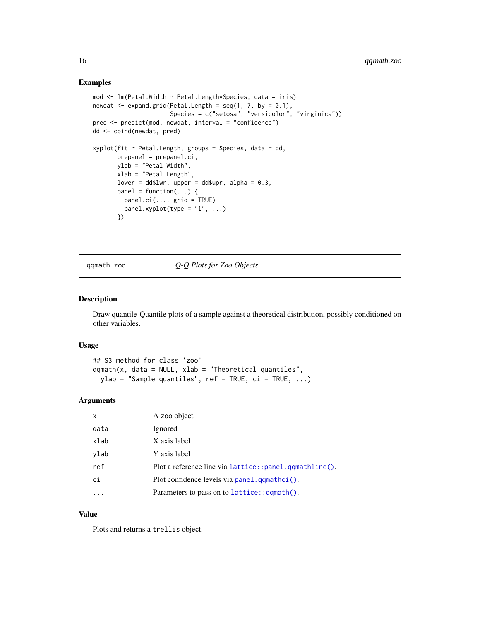### Examples

```
mod \le - lm(Petal.Width \sim Petal.Length*Species, data = iris)
newdat \leq expand.grid(Petal.Length = seq(1, 7, by = 0.1),
                      Species = c("setosa", "versicolor", "virginica"))
pred <- predict(mod, newdat, interval = "confidence")
dd <- cbind(newdat, pred)
xyplot(fit \sim Petal.Length, groups = Species, data = dd,prepanel = prepanel.ci,
       ylab = "Petal Width",
       xlab = "Petal Length",
       lower = dd$lwr, upper = dd$upr, alpha = 0.3,
       panel = function(...) {
         panel.ci(..., grid = TRUE)panel.xyplot(type = "1", ...)
       })
```
qqmath.zoo *Q-Q Plots for Zoo Objects*

### Description

Draw quantile-Quantile plots of a sample against a theoretical distribution, possibly conditioned on other variables.

### Usage

```
## S3 method for class 'zoo'
qqmath(x, data = NULL, xlab = "Theoretical quantiles",
 ylab = "Sample quantiles", ref = TRUE, ci = TRUE, ...)
```
### Arguments

| X    | A zoo object                                           |
|------|--------------------------------------------------------|
| data | Ignored                                                |
| xlab | X axis label                                           |
| ylab | Y axis label                                           |
| ref  | Plot a reference line via lattice::panel.gqmathline(). |
| ci   | Plot confidence levels via panel.gqmathci().           |
|      | Parameters to pass on to lattice:: qqmath().           |

### Value

Plots and returns a trellis object.

<span id="page-15-0"></span>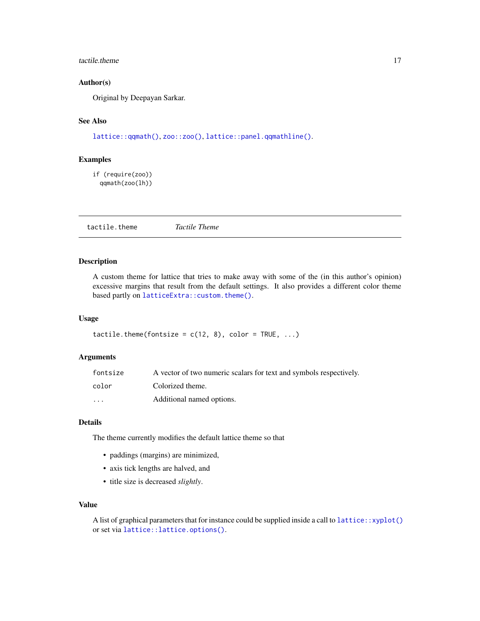#### <span id="page-16-0"></span>tactile.theme 17

### Author(s)

Original by Deepayan Sarkar.

### See Also

[lattice::qqmath\(\)](#page-0-0), [zoo::zoo\(\)](#page-0-0), [lattice::panel.qqmathline\(\)](#page-0-0).

### Examples

```
if (require(zoo))
 qqmath(zoo(lh))
```
tactile.theme *Tactile Theme*

### Description

A custom theme for lattice that tries to make away with some of the (in this author's opinion) excessive margins that result from the default settings. It also provides a different color theme based partly on [latticeExtra::custom.theme\(\)](#page-0-0).

### Usage

```
tactile.theme(fontsize = c(12, 8), color = TRUE, ...)
```
### Arguments

| fontsize                | A vector of two numeric scalars for text and symbols respectively. |
|-------------------------|--------------------------------------------------------------------|
| color                   | Colorized theme.                                                   |
| $\cdot$ $\cdot$ $\cdot$ | Additional named options.                                          |

### Details

The theme currently modifies the default lattice theme so that

- paddings (margins) are minimized,
- axis tick lengths are halved, and
- title size is decreased *slightly*.

### Value

A list of graphical parameters that for instance could be supplied inside a call to [lattice::xyplot\(\)](#page-0-0) or set via [lattice::lattice.options\(\)](#page-0-0).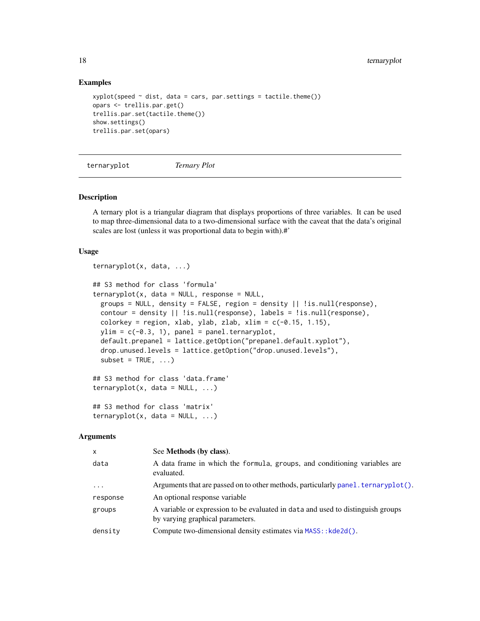### Examples

```
xyplot(speed \sim dist, data = cars, par.settings = tactile. theme())opars <- trellis.par.get()
trellis.par.set(tactile.theme())
show.settings()
trellis.par.set(opars)
```
ternaryplot *Ternary Plot*

### Description

A ternary plot is a triangular diagram that displays proportions of three variables. It can be used to map three-dimensional data to a two-dimensional surface with the caveat that the data's original scales are lost (unless it was proportional data to begin with).#'

#### Usage

```
ternaryplot(x, data, ...)
## S3 method for class 'formula'
ternaryplot(x, data = NULL, response = NULL,groups = NULL, density = FALSE, region = density || !is.null(response),
 contour = density || !is.null(response), labels = !is.null(response),
 colorkey = region, xlab, ylab, zlab, xlim = c(-0.15, 1.15),ylim = c(-0.3, 1), panel = panel.ternaryplot,
 default.prepanel = lattice.getOption("prepanel.default.xyplot"),
  drop.unused.levels = lattice.getOption("drop.unused.levels"),
  subset = TRUE, \ldots)
## S3 method for class 'data.frame'
ternaryplot(x, data = NULL, ...)## S3 method for class 'matrix'
ternaryplot(x, data = NULL, ...)
```

| $\mathsf{x}$        | See Methods (by class).                                                                                             |
|---------------------|---------------------------------------------------------------------------------------------------------------------|
| data                | A data frame in which the formula, groups, and conditioning variables are<br>evaluated.                             |
| $\cdot \cdot \cdot$ | Arguments that are passed on to other methods, particularly panel. $\text{ternaryplot}()$ .                         |
| response            | An optional response variable                                                                                       |
| groups              | A variable or expression to be evaluated in data and used to distinguish groups<br>by varying graphical parameters. |
| density             | Compute two-dimensional density estimates via MASS:: kde2d().                                                       |
|                     |                                                                                                                     |

<span id="page-17-0"></span>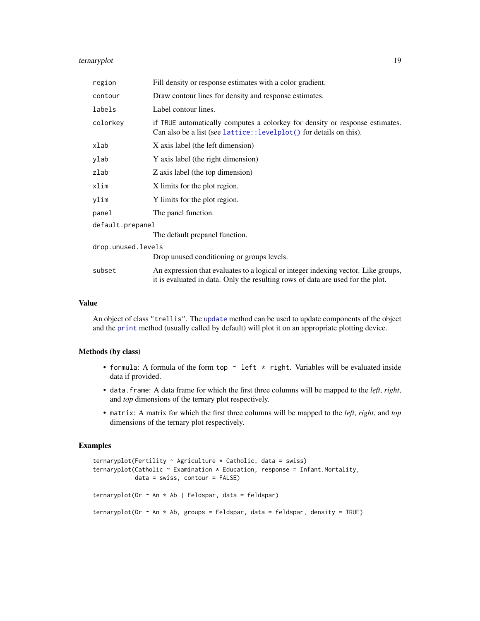### <span id="page-18-0"></span>ternaryplot 19

| region             | Fill density or response estimates with a color gradient.                                                                                                             |  |
|--------------------|-----------------------------------------------------------------------------------------------------------------------------------------------------------------------|--|
| contour            | Draw contour lines for density and response estimates.                                                                                                                |  |
| labels             | Label contour lines.                                                                                                                                                  |  |
| colorkey           | if TRUE automatically computes a colorkey for density or response estimates.<br>Can also be a list (see lattice::levelplot() for details on this).                    |  |
| xlab               | X axis label (the left dimension)                                                                                                                                     |  |
| ylab               | Y axis label (the right dimension)                                                                                                                                    |  |
| zlab               | Z axis label (the top dimension)                                                                                                                                      |  |
| xlim               | X limits for the plot region.                                                                                                                                         |  |
| ylim               | Y limits for the plot region.                                                                                                                                         |  |
| panel              | The panel function.                                                                                                                                                   |  |
| default.prepanel   |                                                                                                                                                                       |  |
|                    | The default prepanel function.                                                                                                                                        |  |
| drop.unused.levels |                                                                                                                                                                       |  |
|                    | Drop unused conditioning or groups levels.                                                                                                                            |  |
| subset             | An expression that evaluates to a logical or integer indexing vector. Like groups,<br>it is evaluated in data. Only the resulting rows of data are used for the plot. |  |

### Value

An object of class "trellis". The [update](#page-0-0) method can be used to update components of the object and the [print](#page-0-0) method (usually called by default) will plot it on an appropriate plotting device.

#### Methods (by class)

- formula: A formula of the form top  $\sim$  left  $*$  right. Variables will be evaluated inside data if provided.
- data.frame: A data frame for which the first three columns will be mapped to the *left*, *right*, and *top* dimensions of the ternary plot respectively.
- matrix: A matrix for which the first three columns will be mapped to the *left*, *right*, and *top* dimensions of the ternary plot respectively.

```
ternaryplot(Fertility \sim Agriculture \star Catholic, data = swiss)
ternaryplot(Catholic ~ Examination * Education, response = Infant.Mortality,
            data = swiss, contour = FALSE)
ternaryplot(Or \sim An * Ab | Feldspar, data = feldspar)
ternaryplot(Or \sim An * Ab, groups = Feldspar, data = feldspar, density = TRUE)
```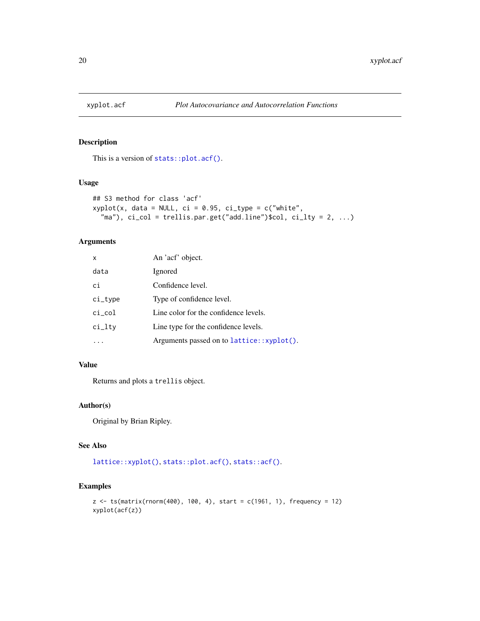<span id="page-19-0"></span>

This is a version of [stats::plot.acf\(\)](#page-0-0).

### Usage

```
## S3 method for class 'acf'
xyplot(x, data = NULL, ci = 0.95, ci_type = c("white","ma"), ci_col = trellis.par.get("add.line")$col, ci_lty = 2, ...
```
### Arguments

| X          | An 'acf' object.                          |
|------------|-------------------------------------------|
| data       | Ignored                                   |
| ci         | Confidence level.                         |
| $ci_type$  | Type of confidence level.                 |
| $ci_{col}$ | Line color for the confidence levels.     |
| ci_lty     | Line type for the confidence levels.      |
|            | Arguments passed on to lattice::xyplot(). |

### Value

Returns and plots a trellis object.

### Author(s)

Original by Brian Ripley.

### See Also

[lattice::xyplot\(\)](#page-0-0), [stats::plot.acf\(\)](#page-0-0), [stats::acf\(\)](#page-0-0).

```
z <- ts(matrix(rnorm(400), 100, 4), start = c(1961, 1), frequency = 12)
xyplot(acf(z))
```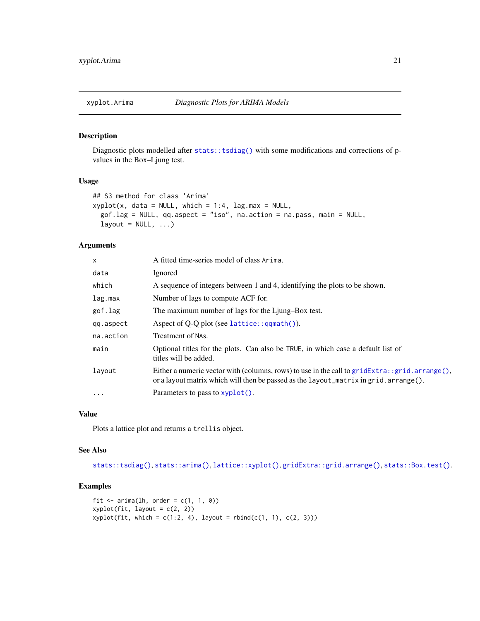<span id="page-20-0"></span>Diagnostic plots modelled after [stats::tsdiag\(\)](#page-0-0) with some modifications and corrections of pvalues in the Box–Ljung test.

### Usage

```
## S3 method for class 'Arima'
xyplot(x, data = NULL, which = 1:4, lag.max = NULL,gof.lag = NULL, qq.aspect = "iso", na.action = na.pass, main = NULL,
  layout = NULL, \dots)
```
### Arguments

| x         | A fitted time-series model of class Arima.                                                                                                                                                |
|-----------|-------------------------------------------------------------------------------------------------------------------------------------------------------------------------------------------|
| data      | Ignored                                                                                                                                                                                   |
| which     | A sequence of integers between 1 and 4, identifying the plots to be shown.                                                                                                                |
| lag.max   | Number of lags to compute ACF for.                                                                                                                                                        |
| gof.lag   | The maximum number of lags for the Ljung–Box test.                                                                                                                                        |
| qq.aspect | Aspect of Q-Q plot (see lattice:: $q$ qmath()).                                                                                                                                           |
| na.action | Treatment of NAs.                                                                                                                                                                         |
| main      | Optional titles for the plots. Can also be TRUE, in which case a default list of<br>titles will be added.                                                                                 |
| layout    | Either a numeric vector with (columns, rows) to use in the call to $gridExtra: grid.array(e),$<br>or a layout matrix which will then be passed as the $l$ ayout_matrix in grid.arrange(). |
| .         | Parameters to pass to xyplot().                                                                                                                                                           |

### Value

Plots a lattice plot and returns a trellis object.

### See Also

[stats::tsdiag\(\)](#page-0-0), [stats::arima\(\)](#page-0-0), [lattice::xyplot\(\)](#page-0-0), [gridExtra::grid.arrange\(\)](#page-0-0), [stats::Box.test\(\)](#page-0-0).

```
fit \le - arima(lh, order = c(1, 1, 0))
xyplot(fit, layout = c(2, 2))xyplot(fit, which = c(1:2, 4), layout = rbind(c(1, 1), c(2, 3)))
```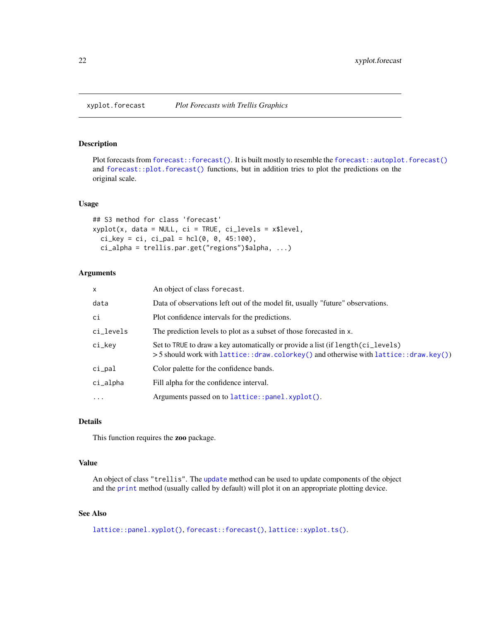<span id="page-21-0"></span>Plot forecasts from [forecast::forecast\(\)](#page-0-0). It is built mostly to resemble the [forecast::autoplot.forecast\(\)](#page-0-0) and [forecast::plot.forecast\(\)](#page-0-0) functions, but in addition tries to plot the predictions on the original scale.

### Usage

```
## S3 method for class 'forecast'
xyplot(x, data = NULL, ci = TRUE, ci\_levels = x$level,ci_{key} = ci, ci_{pal} = hcl(0, 0, 45:100),ci_alpha = trellis.par.get("regions")$alpha, ...)
```
### **Arguments**

| $\mathsf{x}$ | An object of class forecast.                                                                                                                                                |
|--------------|-----------------------------------------------------------------------------------------------------------------------------------------------------------------------------|
| data         | Data of observations left out of the model fit, usually "future" observations.                                                                                              |
| ci           | Plot confidence intervals for the predictions.                                                                                                                              |
| ci_levels    | The prediction levels to plot as a subset of those forecasted in x.                                                                                                         |
| ci_key       | Set to TRUE to draw a key automatically or provide a list (if length (ci_levels)<br>$>$ 5 should work with lattice::draw.colorkey() and otherwise with lattice::draw.key()) |
| ci_pal       | Color palette for the confidence bands.                                                                                                                                     |
| $ci$ alpha   | Fill alpha for the confidence interval.                                                                                                                                     |
| $\cdots$     | Arguments passed on to lattice::panel.xyplot().                                                                                                                             |

### Details

This function requires the zoo package.

### Value

An object of class "trellis". The [update](#page-0-0) method can be used to update components of the object and the [print](#page-0-0) method (usually called by default) will plot it on an appropriate plotting device.

### See Also

```
lattice::panel.xyplot(), forecast::forecast(), lattice::xyplot.ts().
```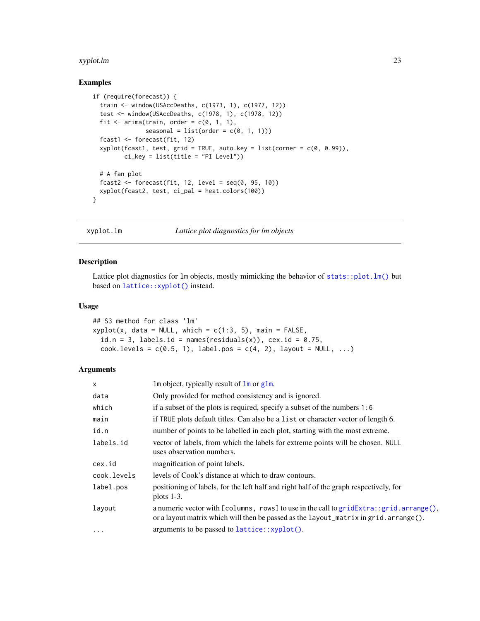#### <span id="page-22-0"></span>xyplot.lm 23

### Examples

```
if (require(forecast)) {
 train <- window(USAccDeaths, c(1973, 1), c(1977, 12))
 test <- window(USAccDeaths, c(1978, 1), c(1978, 12))
 fit \le - arima(train, order = c(0, 1, 1),
               seasonal = list(order = c(\emptyset, 1, 1)))
 fcast1 <- forecast(fit, 12)
 xyplot(fcast1, test, grid = TRUE, auto.key = list(correr = c(0, 0.99)),ci_{key} = list(title = "PI Level")# A fan plot
 fcast2 <- forecast(fit, 12, level = seq(0, 95, 10))
 xyplot(fcast2, test, ci_pal = heat.colors(100))
}
```
xyplot.lm *Lattice plot diagnostics for lm objects*

### Description

Lattice plot diagnostics for  $lm$  objects, mostly mimicking the behavior of [stats::plot.lm\(\)](#page-0-0) but based on [lattice::xyplot\(\)](#page-0-0) instead.

### Usage

```
## S3 method for class 'lm'
xyplot(x, data = NULL, which = c(1:3, 5), main = FALSE,id.n = 3, labels.id = names(residuals(x)), cex.id = 0.75,
  cock.\n    levels = c(0.5, 1), \n    label.pos = c(4, 2), \n    layout = NULL, ...)
```

| $\mathsf{x}$ | Im object, typically result of $\text{Im} \text{ or } \text{glm}$ .                                                                                                              |
|--------------|----------------------------------------------------------------------------------------------------------------------------------------------------------------------------------|
| data         | Only provided for method consistency and is ignored.                                                                                                                             |
| which        | if a subset of the plots is required, specify a subset of the numbers $1:6$                                                                                                      |
| main         | if TRUE plots default titles. Can also be a list or character vector of length 6.                                                                                                |
| id.n         | number of points to be labelled in each plot, starting with the most extreme.                                                                                                    |
| labels.id    | vector of labels, from which the labels for extreme points will be chosen. NULL<br>uses observation numbers.                                                                     |
| cex.id       | magnification of point labels.                                                                                                                                                   |
| cook.levels  | levels of Cook's distance at which to draw contours.                                                                                                                             |
| label.pos    | positioning of labels, for the left half and right half of the graph respectively, for<br>plots $1-3$ .                                                                          |
| layout       | a numeric vector with [columns, rows] to use in the call to $gridExtra::grid.array(e),$<br>or a layout matrix which will then be passed as the layout_matrix in grid. arrange(). |
| $\cdots$     | arguments to be passed to lattice::xyplot().                                                                                                                                     |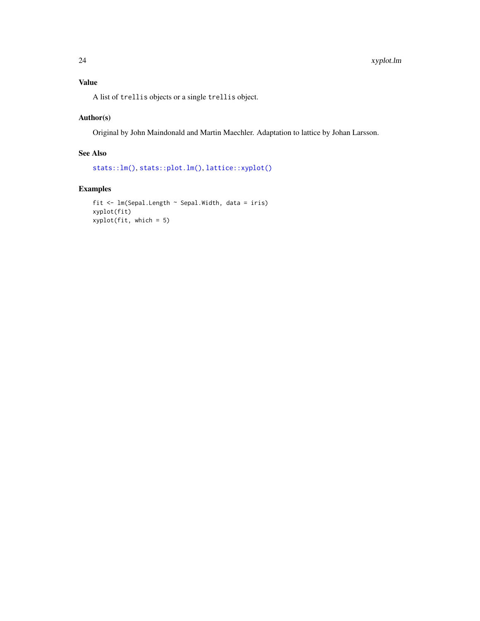<span id="page-23-0"></span>A list of trellis objects or a single trellis object.

### Author(s)

Original by John Maindonald and Martin Maechler. Adaptation to lattice by Johan Larsson.

### See Also

```
stats::lm(), stats::plot.lm(), lattice::xyplot()
```

```
fit <- lm(Sepal.Length ~ Sepal.Width, data = iris)
xyplot(fit)
xyplot(fit, which = 5)
```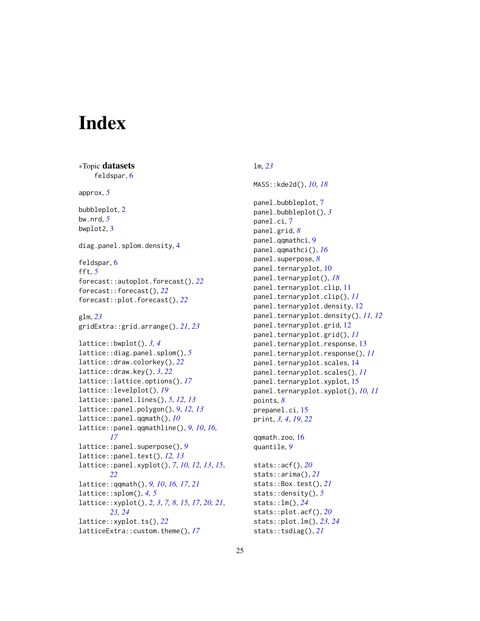# <span id="page-24-0"></span>**Index**

∗Topic datasets feldspar, [6](#page-5-0) approx, *[5](#page-4-0)* bubbleplot, [2](#page-1-0) bw.nrd, *[5](#page-4-0)* bwplot2, [3](#page-2-0) diag.panel.splom.density, [4](#page-3-0) feldspar, [6](#page-5-0) fft, *[5](#page-4-0)* forecast::autoplot.forecast(), *[22](#page-21-0)* forecast::forecast(), *[22](#page-21-0)* forecast::plot.forecast(), *[22](#page-21-0)* glm, *[23](#page-22-0)* gridExtra::grid.arrange(), *[21](#page-20-0)*, *[23](#page-22-0)* lattice::bwplot(), *[3,](#page-2-0) [4](#page-3-0)* lattice::diag.panel.splom(), *[5](#page-4-0)* lattice::draw.colorkey(), *[22](#page-21-0)* lattice::draw.key(), *[3](#page-2-0)*, *[22](#page-21-0)* lattice::lattice.options(), *[17](#page-16-0)* lattice::levelplot(), *[19](#page-18-0)* lattice::panel.lines(), *[5](#page-4-0)*, *[12,](#page-11-0) [13](#page-12-0)* lattice::panel.polygon(), *[9](#page-8-0)*, *[12,](#page-11-0) [13](#page-12-0)* lattice::panel.qqmath(), *[10](#page-9-0)* lattice::panel.qqmathline(), *[9,](#page-8-0) [10](#page-9-0)*, *[16,](#page-15-0) [17](#page-16-0)* lattice::panel.superpose(), *[9](#page-8-0)* lattice::panel.text(), *[12,](#page-11-0) [13](#page-12-0)* lattice::panel.xyplot(), *[7](#page-6-0)*, *[10](#page-9-0)*, *[12,](#page-11-0) [13](#page-12-0)*, *[15](#page-14-0)*, *[22](#page-21-0)* lattice::qqmath(), *[9,](#page-8-0) [10](#page-9-0)*, *[16,](#page-15-0) [17](#page-16-0)*, *[21](#page-20-0)* lattice::splom(), *[4,](#page-3-0) [5](#page-4-0)* lattice::xyplot(), *[2,](#page-1-0) [3](#page-2-0)*, *[7,](#page-6-0) [8](#page-7-0)*, *[15](#page-14-0)*, *[17](#page-16-0)*, *[20,](#page-19-0) [21](#page-20-0)*, *[23,](#page-22-0) [24](#page-23-0)* lattice::xyplot.ts(), *[22](#page-21-0)* latticeExtra::custom.theme(), *[17](#page-16-0)*

### lm, *[23](#page-22-0)*

MASS::kde2d(), *[10](#page-9-0)*, *[18](#page-17-0)* panel.bubbleplot, [7](#page-6-0) panel.bubbleplot(), *[3](#page-2-0)* panel.ci, [7](#page-6-0) panel.grid, *[8](#page-7-0)* panel.qqmathci, [9](#page-8-0) panel.qqmathci(), *[16](#page-15-0)* panel.superpose, *[8](#page-7-0)* panel.ternaryplot, [10](#page-9-0) panel.ternaryplot(), *[18](#page-17-0)* panel.ternaryplot.clip, [11](#page-10-0) panel.ternaryplot.clip(), *[11](#page-10-0)* panel.ternaryplot.density, [12](#page-11-0) panel.ternaryplot.density(), *[11,](#page-10-0) [12](#page-11-0)* panel.ternaryplot.grid, [12](#page-11-0) panel.ternaryplot.grid(), *[11](#page-10-0)* panel.ternaryplot.response, [13](#page-12-0) panel.ternaryplot.response(), *[11](#page-10-0)* panel.ternaryplot.scales, [14](#page-13-0) panel.ternaryplot.scales(), *[11](#page-10-0)* panel.ternaryplot.xyplot, [15](#page-14-0) panel.ternaryplot.xyplot(), *[10,](#page-9-0) [11](#page-10-0)* points, *[8](#page-7-0)* prepanel.ci, [15](#page-14-0) print, *[3,](#page-2-0) [4](#page-3-0)*, *[19](#page-18-0)*, *[22](#page-21-0)* qqmath.zoo, [16](#page-15-0) quantile, *[9](#page-8-0)*

stats::acf(), *[20](#page-19-0)* stats::arima(), *[21](#page-20-0)* stats::Box.test(), *[21](#page-20-0)* stats::density(), *[5](#page-4-0)* stats::lm(), *[24](#page-23-0)* stats::plot.acf(), *[20](#page-19-0)* stats::plot.lm(), *[23,](#page-22-0) [24](#page-23-0)* stats::tsdiag(), *[21](#page-20-0)*